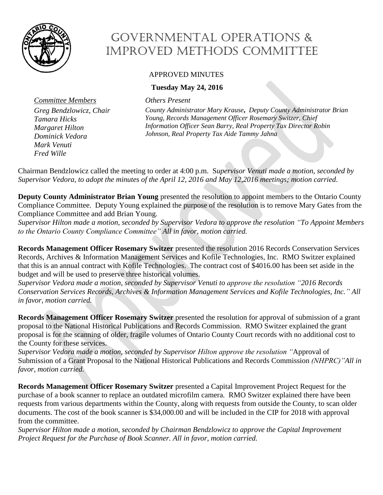

## Governmental Operations & Improved Methods Committee

## APPROVED MINUTES

## **Tuesday May 24, 2016**

*Committee Members Others Present*

*Greg Bendzlowicz, Chair Tamara Hicks Margaret Hilton Dominick Vedora Mark Venuti Fred Wille*

*County Administrator Mary Krause***,** *Deputy County Administrator Brian Young, Records Management Officer Rosemary Switzer, Chief Information Officer Sean Barry, Real Property Tax Director Robin Johnson, Real Property Tax Aide Tammy Jahna*

Chairman Bendzlowicz called the meeting to order at 4:00 p.m. S*upervisor Venuti made a motion, seconded by Supervisor Vedora, to adopt the minutes of the April 12, 2016 and May 12,2016 meetings; motion carried*.

**Deputy County Administrator Brian Young** presented the resolution to appoint members to the Ontario County Compliance Committee. Deputy Young explained the purpose of the resolution is to remove Mary Gates from the Compliance Committee and add Brian Young.

*Supervisor Hilton made a motion, seconded by Supervisor Vedora to approve the resolution "To Appoint Members to the Ontario County Compliance Committee" All in favor, motion carried.* 

**Records Management Officer Rosemary Switzer** presented the resolution 2016 Records Conservation Services Records, Archives & Information Management Services and Kofile Technologies, Inc. RMO Switzer explained that this is an annual contract with Kofile Technologies. The contract cost of \$4016.00 has been set aside in the budget and will be used to preserve three historical volumes.

*Supervisor Vedora made a motion, seconded by Supervisor Venuti to approve the resolution "2016 Records Conservation Services Records, Archives & Information Management Services and Kofile Technologies, Inc." All in favor, motion carried.* 

**Records Management Officer Rosemary Switzer** presented the resolution for approval of submission of a grant proposal to the National Historical Publications and Records Commission. RMO Switzer explained the grant proposal is for the scanning of older, fragile volumes of Ontario County Court records with no additional cost to the County for these services.

*Supervisor Vedora made a motion, seconded by Supervisor Hilton approve the resolution "*Approval of Submission of a Grant Proposal to the National Historical Publications and Records Commission *(NHPRC)"All in favor, motion carried.* 

**Records Management Officer Rosemary Switzer** presented a Capital Improvement Project Request for the purchase of a book scanner to replace an outdated microfilm camera. RMO Switzer explained there have been requests from various departments within the County, along with requests from outside the County, to scan older documents. The cost of the book scanner is \$34,000.00 and will be included in the CIP for 2018 with approval from the committee.

*Supervisor Hilton made a motion, seconded by Chairman Bendzlowicz to approve the Capital Improvement Project Request for the Purchase of Book Scanner. All in favor, motion carried.*